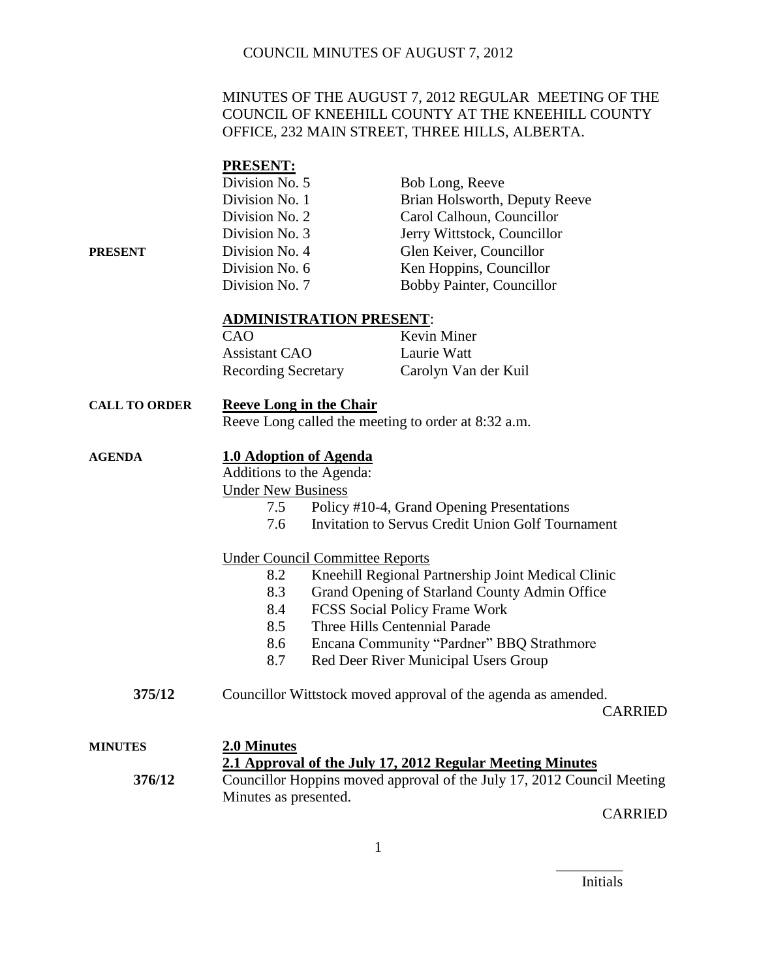### MINUTES OF THE AUGUST 7, 2012 REGULAR MEETING OF THE COUNCIL OF KNEEHILL COUNTY AT THE KNEEHILL COUNTY OFFICE, 232 MAIN STREET, THREE HILLS, ALBERTA.

### **PRESENT:**

|         | Division No. 5 | Bob Long, Reeve               |
|---------|----------------|-------------------------------|
|         | Division No. 1 | Brian Holsworth, Deputy Reeve |
|         | Division No. 2 | Carol Calhoun, Councillor     |
|         | Division No. 3 | Jerry Wittstock, Councillor   |
| PRESENT | Division No. 4 | Glen Keiver, Councillor       |
|         | Division No. 6 | Ken Hoppins, Councillor       |
|         | Division No. 7 | Bobby Painter, Councillor     |

#### **ADMINISTRATION PRESENT**:

| CAO                        | <b>Kevin Miner</b>   |
|----------------------------|----------------------|
| <b>Assistant CAO</b>       | Laurie Watt          |
| <b>Recording Secretary</b> | Carolyn Van der Kuil |

## **CALL TO ORDER Reeve Long in the Chair**

Reeve Long called the meeting to order at 8:32 a.m.

#### **AGENDA 1.0 Adoption of Agenda**

Additions to the Agenda: Under New Business

- 7.5 Policy #10-4, Grand Opening Presentations
- 7.6 Invitation to Servus Credit Union Golf Tournament

### Under Council Committee Reports

- 8.2 Kneehill Regional Partnership Joint Medical Clinic
- 8.3 Grand Opening of Starland County Admin Office
- 8.4 FCSS Social Policy Frame Work
- 8.5 Three Hills Centennial Parade
- 8.6 Encana Community "Pardner" BBQ Strathmore
- 8.7 Red Deer River Municipal Users Group
- **375/12** Councillor Wittstock moved approval of the agenda as amended.

CARRIED

## **MINUTES 2.0 Minutes 2.1 Approval of the July 17, 2012 Regular Meeting Minutes 376/12** Councillor Hoppins moved approval of the July 17, 2012 Council Meeting Minutes as presented.

CARRIED

\_\_\_\_\_\_\_\_\_ Initials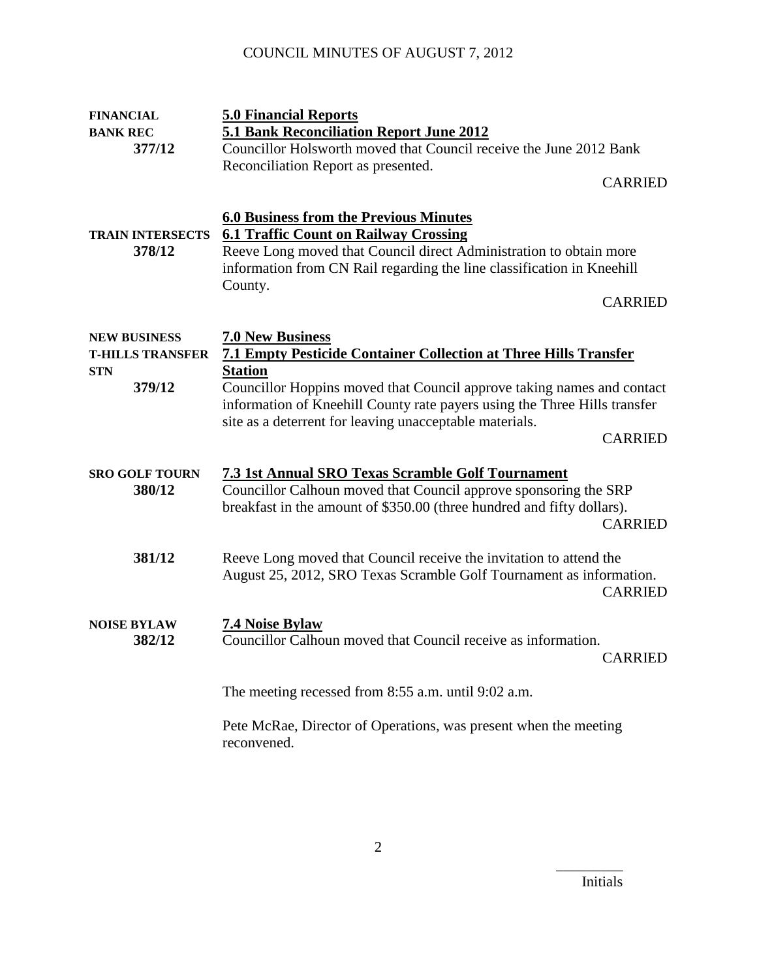| <b>FINANCIAL</b><br><b>BANK REC</b>            | <b>5.0 Financial Reports</b><br>5.1 Bank Reconciliation Report June 2012                                                                                                                                                                      |
|------------------------------------------------|-----------------------------------------------------------------------------------------------------------------------------------------------------------------------------------------------------------------------------------------------|
| 377/12                                         | Councillor Holsworth moved that Council receive the June 2012 Bank                                                                                                                                                                            |
|                                                | Reconciliation Report as presented.                                                                                                                                                                                                           |
|                                                | <b>CARRIED</b>                                                                                                                                                                                                                                |
| <b>TRAIN INTERSECTS</b><br>378/12              | <b>6.0 Business from the Previous Minutes</b><br><b>6.1 Traffic Count on Railway Crossing</b><br>Reeve Long moved that Council direct Administration to obtain more<br>information from CN Rail regarding the line classification in Kneehill |
|                                                | County.<br><b>CARRIED</b>                                                                                                                                                                                                                     |
| <b>NEW BUSINESS</b><br><b>T-HILLS TRANSFER</b> | <b>7.0 New Business</b><br><b>7.1 Empty Pesticide Container Collection at Three Hills Transfer</b>                                                                                                                                            |
| <b>STN</b><br>379/12                           | <b>Station</b><br>Councillor Hoppins moved that Council approve taking names and contact<br>information of Kneehill County rate payers using the Three Hills transfer<br>site as a deterrent for leaving unacceptable materials.              |
|                                                | <b>CARRIED</b>                                                                                                                                                                                                                                |
| <b>SRO GOLF TOURN</b><br>380/12                | 7.3 1st Annual SRO Texas Scramble Golf Tournament<br>Councillor Calhoun moved that Council approve sponsoring the SRP<br>breakfast in the amount of \$350.00 (three hundred and fifty dollars).<br><b>CARRIED</b>                             |
| 381/12                                         | Reeve Long moved that Council receive the invitation to attend the<br>August 25, 2012, SRO Texas Scramble Golf Tournament as information.<br><b>CARRIED</b>                                                                                   |
| <b>NOISE BYLAW</b><br>382/12                   | <b>7.4 Noise Bylaw</b><br>Councillor Calhoun moved that Council receive as information.<br><b>CARRIED</b>                                                                                                                                     |
|                                                | The meeting recessed from 8:55 a.m. until 9:02 a.m.                                                                                                                                                                                           |
|                                                | Pete McRae, Director of Operations, was present when the meeting<br>reconvened.                                                                                                                                                               |

Initials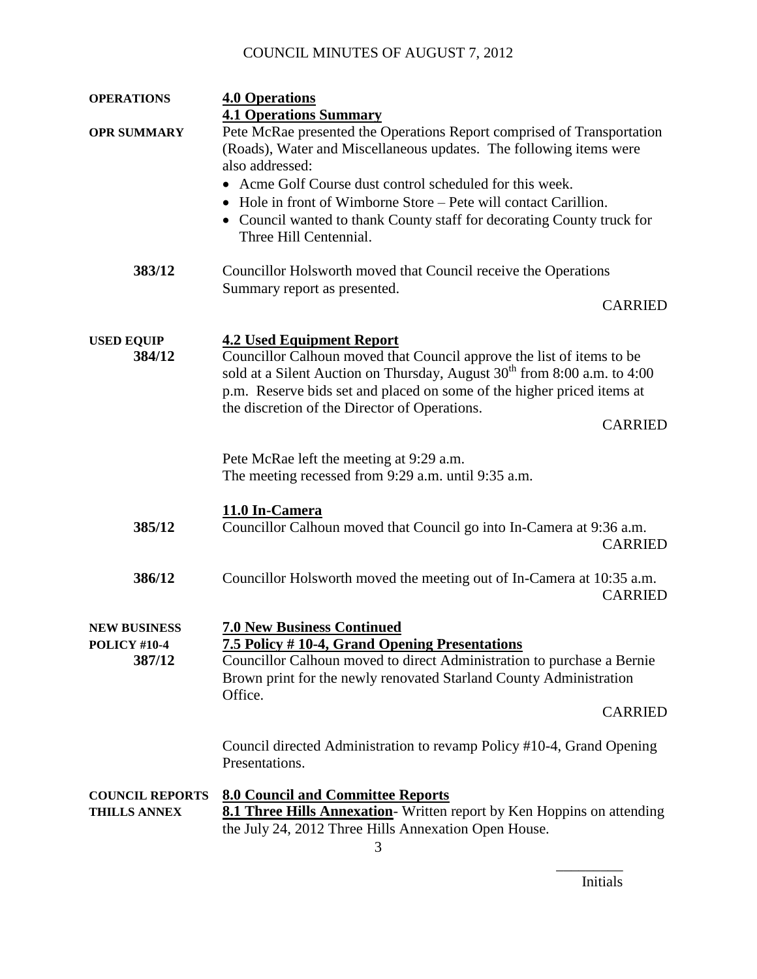| <b>OPERATIONS</b>      | <b>4.0 Operations</b>                                                                |
|------------------------|--------------------------------------------------------------------------------------|
|                        | <b>4.1 Operations Summary</b>                                                        |
| <b>OPR SUMMARY</b>     | Pete McRae presented the Operations Report comprised of Transportation               |
|                        | (Roads), Water and Miscellaneous updates. The following items were                   |
|                        | also addressed:                                                                      |
|                        | • Acme Golf Course dust control scheduled for this week.                             |
|                        | • Hole in front of Wimborne Store – Pete will contact Carillion.                     |
|                        | Council wanted to thank County staff for decorating County truck for                 |
|                        | Three Hill Centennial.                                                               |
| 383/12                 | Councillor Holsworth moved that Council receive the Operations                       |
|                        | Summary report as presented.                                                         |
|                        | <b>CARRIED</b>                                                                       |
|                        |                                                                                      |
| <b>USED EQUIP</b>      | <b>4.2 Used Equipment Report</b>                                                     |
| 384/12                 | Councillor Calhoun moved that Council approve the list of items to be                |
|                        | sold at a Silent Auction on Thursday, August 30 <sup>th</sup> from 8:00 a.m. to 4:00 |
|                        | p.m. Reserve bids set and placed on some of the higher priced items at               |
|                        | the discretion of the Director of Operations.                                        |
|                        | <b>CARRIED</b>                                                                       |
|                        |                                                                                      |
|                        | Pete McRae left the meeting at 9:29 a.m.                                             |
|                        | The meeting recessed from 9:29 a.m. until 9:35 a.m.                                  |
|                        |                                                                                      |
|                        | 11.0 In-Camera                                                                       |
| 385/12                 | Councillor Calhoun moved that Council go into In-Camera at 9:36 a.m.                 |
|                        | <b>CARRIED</b>                                                                       |
|                        |                                                                                      |
| 386/12                 | Councillor Holsworth moved the meeting out of In-Camera at 10:35 a.m.                |
|                        | <b>CARRIED</b>                                                                       |
|                        |                                                                                      |
| <b>NEW BUSINESS</b>    | <b>7.0 New Business Continued</b>                                                    |
| <b>POLICY #10-4</b>    | 7.5 Policy #10-4, Grand Opening Presentations                                        |
| 387/12                 | Councillor Calhoun moved to direct Administration to purchase a Bernie               |
|                        | Brown print for the newly renovated Starland County Administration                   |
|                        | Office.                                                                              |
|                        | <b>CARRIED</b>                                                                       |
|                        |                                                                                      |
|                        | Council directed Administration to revamp Policy #10-4, Grand Opening                |
|                        | Presentations.                                                                       |
| <b>COUNCIL REPORTS</b> | <b>8.0 Council and Committee Reports</b>                                             |
| <b>THILLS ANNEX</b>    | 8.1 Three Hills Annexation- Written report by Ken Hoppins on attending               |
|                        | the July 24, 2012 Three Hills Annexation Open House.                                 |
|                        |                                                                                      |

Initials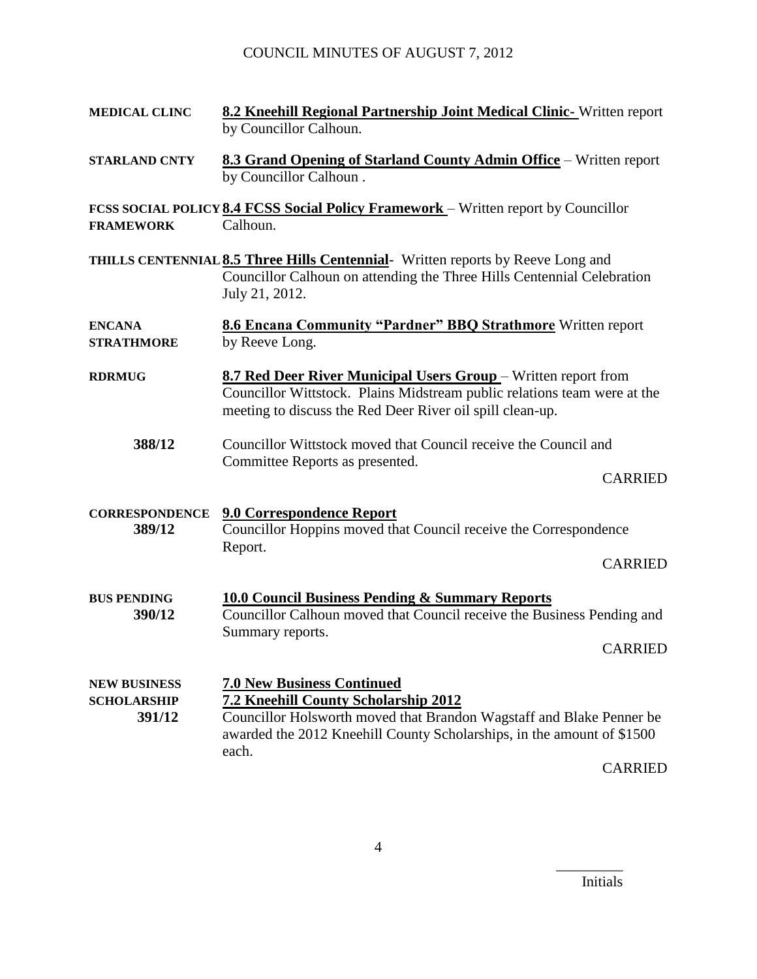| <b>MEDICAL CLINC</b>                                | 8.2 Kneehill Regional Partnership Joint Medical Clinic-Written report<br>by Councillor Calhoun.                                                                                                                                      |  |
|-----------------------------------------------------|--------------------------------------------------------------------------------------------------------------------------------------------------------------------------------------------------------------------------------------|--|
| <b>STARLAND CNTY</b>                                | 8.3 Grand Opening of Starland County Admin Office – Written report<br>by Councillor Calhoun.                                                                                                                                         |  |
| <b>FRAMEWORK</b>                                    | FCSS SOCIAL POLICY 8.4 FCSS Social Policy Framework - Written report by Councillor<br>Calhoun.                                                                                                                                       |  |
|                                                     | THILLS CENTENNIAL 8.5 Three Hills Centennial- Written reports by Reeve Long and<br>Councillor Calhoun on attending the Three Hills Centennial Celebration<br>July 21, 2012.                                                          |  |
| <b>ENCANA</b><br><b>STRATHMORE</b>                  | <b>8.6 Encana Community "Pardner" BBQ Strathmore</b> Written report<br>by Reeve Long.                                                                                                                                                |  |
| <b>RDRMUG</b>                                       | <b>8.7 Red Deer River Municipal Users Group</b> – Written report from<br>Councillor Wittstock. Plains Midstream public relations team were at the<br>meeting to discuss the Red Deer River oil spill clean-up.                       |  |
| 388/12                                              | Councillor Wittstock moved that Council receive the Council and<br>Committee Reports as presented.<br><b>CARRIED</b>                                                                                                                 |  |
| <b>CORRESPONDENCE</b><br>389/12                     | <b>9.0 Correspondence Report</b><br>Councillor Hoppins moved that Council receive the Correspondence<br>Report.<br><b>CARRIED</b>                                                                                                    |  |
| <b>BUS PENDING</b><br>390/12                        | <b>10.0 Council Business Pending &amp; Summary Reports</b><br>Councillor Calhoun moved that Council receive the Business Pending and<br>Summary reports.<br><b>CARRIED</b>                                                           |  |
| <b>NEW BUSINESS</b><br><b>SCHOLARSHIP</b><br>391/12 | <b>7.0 New Business Continued</b><br>7.2 Kneehill County Scholarship 2012<br>Councillor Holsworth moved that Brandon Wagstaff and Blake Penner be<br>awarded the 2012 Kneehill County Scholarships, in the amount of \$1500<br>each. |  |

CARRIED